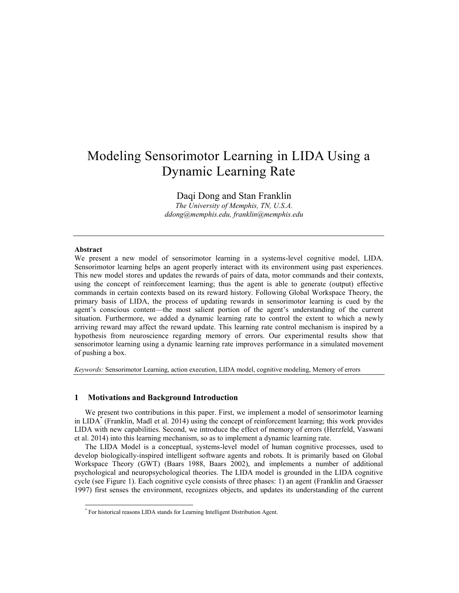# Modeling Sensorimotor Learning in LIDA Using a Dynamic Learning Rate

Daqi Dong and Stan Franklin *The University of Memphis, TN, U.S.A. ddong@memphis.edu[, franklin@memphis.edu](mailto:hoderk@cs.man.ac.uk)*

# **Abstract**

l

We present a new model of sensorimotor learning in a systems-level cognitive model, LIDA. Sensorimotor learning helps an agent properly interact with its environment using past experiences. This new model stores and updates the rewards of pairs of data, motor commands and their contexts, using the concept of reinforcement learning; thus the agent is able to generate (output) effective commands in certain contexts based on its reward history. Following Global Workspace Theory, the primary basis of LIDA, the process of updating rewards in sensorimotor learning is cued by the agent's conscious content—the most salient portion of the agent's understanding of the current situation. Furthermore, we added a dynamic learning rate to control the extent to which a newly arriving reward may affect the reward update. This learning rate control mechanism is inspired by a hypothesis from neuroscience regarding memory of errors. Our experimental results show that sensorimotor learning using a dynamic learning rate improves performance in a simulated movement of pushing a box.

*Keywords:* Sensorimotor Learning, action execution, LIDA model, cognitive modeling, Memory of errors

# **1 Motivations and Background Introduction**

We present two contributions in this paper. First, we implement a model of sensorimotor learning in LIDA\* [\(Franklin, Madl et al. 2014\)](#page-8-0) using the concept of reinforcement learning; this work provides LIDA with new capabilities. Second, we introduce the effect of memory of errors [\(Herzfeld, Vaswani](#page-8-1)  [et al. 2014\)](#page-8-1) into this learning mechanism, so as to implement a dynamic learning rate.

The LIDA Model is a conceptual, systems-level model of human cognitive processes, used to develop biologically-inspired intelligent software agents and robots. It is primarily based on Global Workspace Theory (GWT) [\(Baars 1988,](#page-8-2) [Baars 2002\)](#page-8-3), and implements a number of additional psychological and neuropsychological theories. The LIDA model is grounded in the LIDA cognitive cycle (see Figure 1). Each cognitive cycle consists of three phases: 1) an agent [\(Franklin and Graesser](#page-8-4)  [1997\)](#page-8-4) first senses the environment, recognizes objects, and updates its understanding of the current

<sup>\*</sup> For historical reasons LIDA stands for Learning Intelligent Distribution Agent.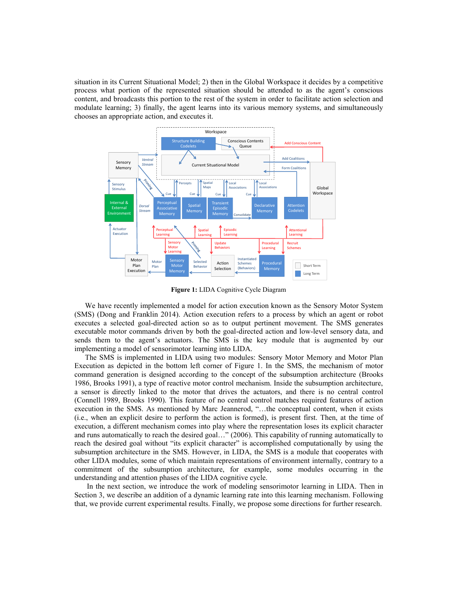situation in its Current Situational Model; 2) then in the Global Workspace it decides by a competitive process what portion of the represented situation should be attended to as the agent's conscious content, and broadcasts this portion to the rest of the system in order to facilitate action selection and modulate learning; 3) finally, the agent learns into its various memory systems, and simultaneously chooses an appropriate action, and executes it.



**Figure 1:** LIDA Cognitive Cycle Diagram

We have recently implemented a model for action execution known as the Sensory Motor System (SMS) [\(Dong and Franklin 2014\)](#page-8-5). Action execution refers to a process by which an agent or robot executes a selected goal-directed action so as to output pertinent movement. The SMS generates executable motor commands driven by both the goal-directed action and low-level sensory data, and sends them to the agent's actuators. The SMS is the key module that is augmented by our implementing a model of sensorimotor learning into LIDA.

The SMS is implemented in LIDA using two modules: Sensory Motor Memory and Motor Plan Execution as depicted in the bottom left corner of Figure 1. In the SMS, the mechanism of motor command generation is designed according to the concept of the subsumption architecture [\(Brooks](#page-8-6)  [1986,](#page-8-6) [Brooks 1991\)](#page-8-7), a type of reactive motor control mechanism. Inside the subsumption architecture, a sensor is directly linked to the motor that drives the actuators, and there is no central control [\(Connell 1989,](#page-8-8) [Brooks 1990\)](#page-8-9). This feature of no central control matches required features of action execution in the SMS. As mentioned by Marc Jeannerod, "...the conceptual content, when it exists (i.e., when an explicit desire to perform the action is formed), is present first. Then, at the time of execution, a different mechanism comes into play where the representation loses its explicit character and runs automatically to reach the desired goal..." [\(2006\)](#page-8-10). This capability of running automatically to reach the desired goal without "its explicit character" is accomplished computationally by using the subsumption architecture in the SMS. However, in LIDA, the SMS is a module that cooperates with other LIDA modules, some of which maintain representations of environment internally, contrary to a commitment of the subsumption architecture, for example, some modules occurring in the understanding and attention phases of the LIDA cognitive cycle.

In the next section, we introduce the work of modeling sensorimotor learning in LIDA. Then in Section 3, we describe an addition of a dynamic learning rate into this learning mechanism. Following that, we provide current experimental results. Finally, we propose some directions for further research.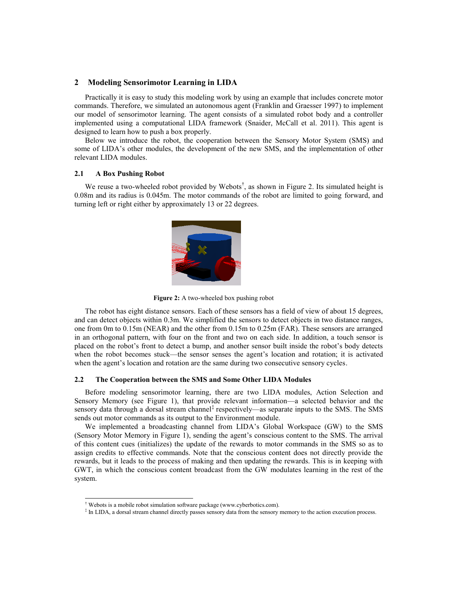## **2 Modeling Sensorimotor Learning in LIDA**

Practically it is easy to study this modeling work by using an example that includes concrete motor commands. Therefore, we simulated an autonomous agent [\(Franklin and Graesser 1997\)](#page-8-4) to implement our model of sensorimotor learning. The agent consists of a simulated robot body and a controller implemented using a computational LIDA framework [\(Snaider, McCall et al. 2011\)](#page-9-0). This agent is designed to learn how to push a box properly.

Below we introduce the robot, the cooperation between the Sensory Motor System (SMS) and some of LIDA's other modules, the development of the new SMS, and the implementation of other relevant LIDA modules.

## **2.1 A Box Pushing Robot**

We reuse a two-wheeled robot provided by Webots<sup>†</sup>, as shown in Figure 2. Its simulated height is 0.08m and its radius is 0.045m. The motor commands of the robot are limited to going forward, and turning left or right either by approximately 13 or 22 degrees.



**Figure 2:** A two-wheeled box pushing robot

The robot has eight distance sensors. Each of these sensors has a field of view of about 15 degrees, and can detect objects within 0.3m. We simplified the sensors to detect objects in two distance ranges, one from 0m to 0.15m (NEAR) and the other from 0.15m to 0.25m (FAR). These sensors are arranged in an orthogonal pattern, with four on the front and two on each side. In addition, a touch sensor is placed on the robot's front to detect a bump, and another sensor built inside the robot's body detects when the robot becomes stuck—the sensor senses the agent's location and rotation; it is activated when the agent's location and rotation are the same during two consecutive sensory cycles.

## **2.2 The Cooperation between the SMS and Some Other LIDA Modules**

Before modeling sensorimotor learning, there are two LIDA modules, Action Selection and Sensory Memory (see Figure 1), that provide relevant information—a selected behavior and the sensory data through a dorsal stream channel<sup>‡</sup> respectively—as separate inputs to the SMS. The SMS sends out motor commands as its output to the Environment module.

We implemented a broadcasting channel from LIDA's Global Workspace (GW) to the SMS (Sensory Motor Memory in Figure 1), sending the agent's conscious content to the SMS. The arrival of this content cues (initializes) the update of the rewards to motor commands in the SMS so as to assign credits to effective commands. Note that the conscious content does not directly provide the rewards, but it leads to the process of making and then updating the rewards. This is in keeping with GWT, in which the conscious content broadcast from the GW modulates learning in the rest of the system.

l

<sup>†</sup> Webots is a mobile robot simulation software package (www.cyberbotics.com).

<sup>‡</sup> In LIDA, a dorsal stream channel directly passes sensory data from the sensory memory to the action execution process.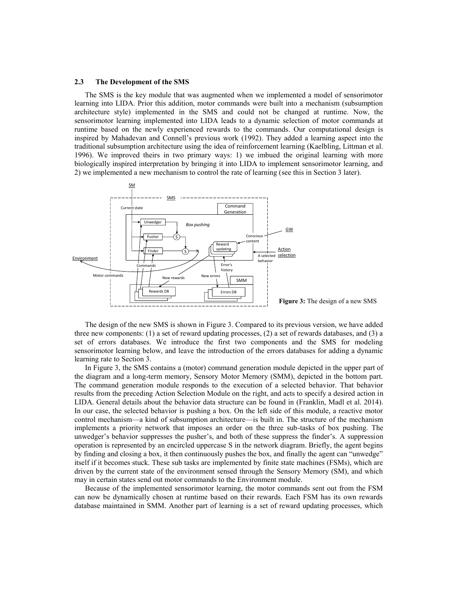#### **2.3 The Development of the SMS**

The SMS is the key module that was augmented when we implemented a model of sensorimotor learning into LIDA. Prior this addition, motor commands were built into a mechanism (subsumption architecture style) implemented in the SMS and could not be changed at runtime. Now, the sensorimotor learning implemented into LIDA leads to a dynamic selection of motor commands at runtime based on the newly experienced rewards to the commands. Our computational design is inspired by Mahadevan and Connell's previous work [\(1992\)](#page-8-11). They added a learning aspect into the traditional subsumption architecture using the idea of reinforcement learning [\(Kaelbling, Littman et al.](#page-8-12)  [1996\)](#page-8-12). We improved theirs in two primary ways: 1) we imbued the original learning with more biologically inspired interpretation by bringing it into LIDA to implement sensorimotor learning, and 2) we implemented a new mechanism to control the rate of learning (see this in Section 3 later).



The design of the new SMS is shown in Figure 3. Compared to its previous version, we have added three new components: (1) a set of reward updating processes, (2) a set of rewards databases, and (3) a set of errors databases. We introduce the first two components and the SMS for modeling sensorimotor learning below, and leave the introduction of the errors databases for adding a dynamic learning rate to Section 3.

In Figure 3, the SMS contains a (motor) command generation module depicted in the upper part of the diagram and a long-term memory, Sensory Motor Memory (SMM), depicted in the bottom part. The command generation module responds to the execution of a selected behavior. That behavior results from the preceding Action Selection Module on the right, and acts to specify a desired action in LIDA. General details about the behavior data structure can be found in [\(Franklin, Madl et al. 2014\)](#page-8-0). In our case, the selected behavior is pushing a box. On the left side of this module, a reactive motor control mechanism—a kind of subsumption architecture—is built in. The structure of the mechanism implements a priority network that imposes an order on the three sub-tasks of box pushing. The unwedger's behavior suppresses the pusher's, and both of these suppress the finder's. A suppression operation is represented by an encircled uppercase S in the network diagram. Briefly, the agent begins by finding and closing a box, it then continuously pushes the box, and finally the agent can "unwedge" itself if it becomes stuck. These sub tasks are implemented by finite state machines (FSMs), which are driven by the current state of the environment sensed through the Sensory Memory (SM), and which may in certain states send out motor commands to the Environment module.

Because of the implemented sensorimotor learning, the motor commands sent out from the FSM can now be dynamically chosen at runtime based on their rewards. Each FSM has its own rewards database maintained in SMM. Another part of learning is a set of reward updating processes, which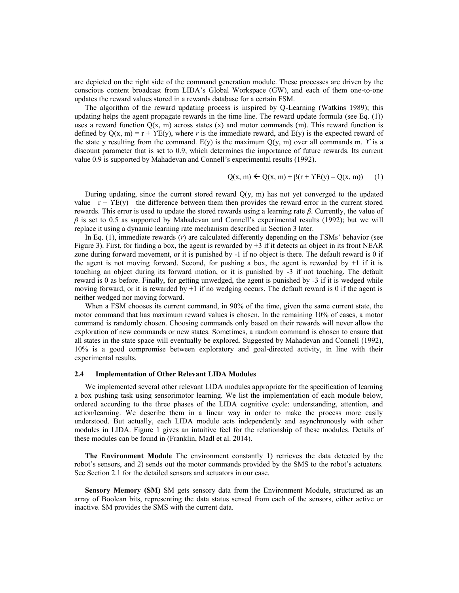are depicted on the right side of the command generation module. These processes are driven by the conscious content broadcast from LIDA's Global Workspace (GW), and each of them one-to-one updates the reward values stored in a rewards database for a certain FSM.

The algorithm of the reward updating process is inspired by Q-Learning [\(Watkins 1989\)](#page-9-1); this updating helps the agent propagate rewards in the time line. The reward update formula (see Eq. (1)) uses a reward function  $Q(x, m)$  across states  $(x)$  and motor commands  $(m)$ . This reward function is defined by  $Q(x, m) = r + \Upsilon E(y)$ , where r is the immediate reward, and  $E(y)$  is the expected reward of the state y resulting from the command.  $E(y)$  is the maximum  $O(y, m)$  over all commands m. *Y* is a discount parameter that is set to 0.9, which determines the importance of future rewards. Its current value 0.9 is supported by Mahadevan and Connell's experimental results [\(1992\)](#page-8-11).

$$
Q(x, m) \leftarrow Q(x, m) + \beta(r + \gamma E(y) - Q(x, m)) \tag{1}
$$

During updating, since the current stored reward  $Q(y, m)$  has not yet converged to the updated value—r +  $YE(y)$ —the difference between them then provides the reward error in the current stored rewards. This error is used to update the stored rewards using a learning rate *β*. Currently, the value of *β* is set to 0.5 as supported by Mahadevan and Connell's experimental results [\(1992\)](#page-8-11); but we will replace it using a dynamic learning rate mechanism described in Section 3 later.

In Eq. (1), immediate rewards (*r*) are calculated differently depending on the FSMs' behavior (see Figure 3). First, for finding a box, the agent is rewarded by  $+3$  if it detects an object in its front NEAR zone during forward movement, or it is punished by -1 if no object is there. The default reward is 0 if the agent is not moving forward. Second, for pushing a box, the agent is rewarded by  $+1$  if it is touching an object during its forward motion, or it is punished by -3 if not touching. The default reward is 0 as before. Finally, for getting unwedged, the agent is punished by -3 if it is wedged while moving forward, or it is rewarded by +1 if no wedging occurs. The default reward is 0 if the agent is neither wedged nor moving forward.

When a FSM chooses its current command, in 90% of the time, given the same current state, the motor command that has maximum reward values is chosen. In the remaining 10% of cases, a motor command is randomly chosen. Choosing commands only based on their rewards will never allow the exploration of new commands or new states. Sometimes, a random command is chosen to ensure that all states in the state space will eventually be explored. Suggested by Mahadevan and Connell [\(1992\)](#page-8-11), 10% is a good compromise between exploratory and goal-directed activity, in line with their experimental results.

#### **2.4 Implementation of Other Relevant LIDA Modules**

We implemented several other relevant LIDA modules appropriate for the specification of learning a box pushing task using sensorimotor learning. We list the implementation of each module below, ordered according to the three phases of the LIDA cognitive cycle: understanding, attention, and action/learning. We describe them in a linear way in order to make the process more easily understood. But actually, each LIDA module acts independently and asynchronously with other modules in LIDA. Figure 1 gives an intuitive feel for the relationship of these modules. Details of these modules can be found in [\(Franklin, Madl et al. 2014\)](#page-8-0).

**The Environment Module** The environment constantly 1) retrieves the data detected by the robot's sensors, and 2) sends out the motor commands provided by the SMS to the robot's actuators. See Section 2.1 for the detailed sensors and actuators in our case.

**Sensory Memory (SM)** SM gets sensory data from the Environment Module, structured as an array of Boolean bits, representing the data status sensed from each of the sensors, either active or inactive. SM provides the SMS with the current data.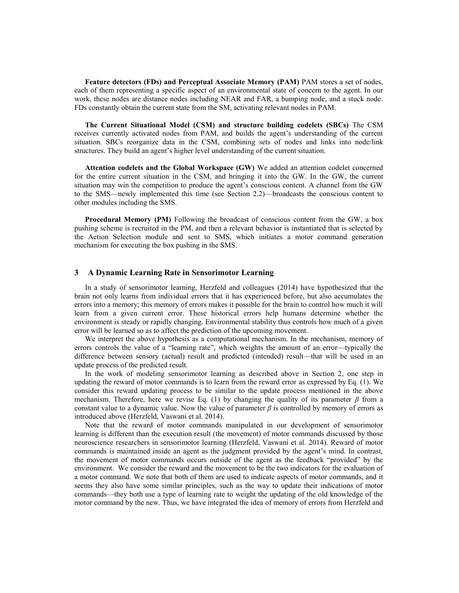**Feature detectors (FDs) and Perceptual Associate Memory (PAM)** PAM stores a set of nodes, each of them representing a specific aspect of an environmental state of concern to the agent. In our work, these nodes are distance nodes including NEAR and FAR, a bumping node, and a stuck node. FDs constantly obtain the current state from the SM, activating relevant nodes in PAM.

**The Current Situational Model (CSM) and structure building codelets (SBCs)** The CSM receives currently activated nodes from PAM, and builds the agent's understanding of the current situation. SBCs reorganize data in the CSM, combining sets of nodes and links into node/link structures. They build an agent's higher level understanding of the current situation.

**Attention codelets and the Global Workspace (GW)** We added an attention codelet concerned for the entire current situation in the CSM, and bringing it into the GW. In the GW, the current situation may win the competition to produce the agent's conscious content. A channel from the GW to the SMS—newly implemented this time (see Section 2.2)—broadcasts the conscious content to other modules including the SMS.

**Procedural Memory (PM)** Following the broadcast of conscious content from the GW, a box pushing scheme is recruited in the PM, and then a relevant behavior is instantiated that is selected by the Action Selection module and sent to SMS, which initiates a motor command generation mechanism for executing the box pushing in the SMS.

## **3 A Dynamic Learning Rate in Sensorimotor Learning**

In a study of sensorimotor learning, Herzfeld and colleagues [\(2014\)](#page-8-1) have hypothesized that the brain not only learns from individual errors that it has experienced before, but also accumulates the errors into a memory; this memory of errors makes it possible for the brain to control how much it will learn from a given current error. These historical errors help humans determine whether the environment is steady or rapidly changing. Environmental stability thus controls how much of a given error will be learned so as to affect the prediction of the upcoming movement.

We interpret the above hypothesis as a computational mechanism. In the mechanism, memory of errors controls the value of a "learning rate", which weights the amount of an error—typically the difference between sensory (actual) result and predicted (intended) result—that will be used in an update process of the predicted result.

In the work of modeling sensorimotor learning as described above in Section 2, one step in updating the reward of motor commands is to learn from the reward error as expressed by Eq. (1). We consider this reward updating process to be similar to the update process mentioned in the above mechanism. Therefore, here we revise Eq. (1) by changing the quality of its parameter  $\beta$  from a constant value to a dynamic value. Now the value of parameter  $\beta$  is controlled by memory of errors as introduced above [\(Herzfeld, Vaswani et al. 2014\)](#page-8-1).

Note that the reward of motor commands manipulated in our development of sensorimotor learning is different than the execution result (the movement) of motor commands discussed by those neuroscience researchers in sensorimotor learning [\(Herzfeld, Vaswani et al. 2014\)](#page-8-1). Reward of motor commands is maintained inside an agent as the judgment provided by the agent's mind. In contrast, the movement of motor commands occurs outside of the agent as the feedback "provided" by the environment. We consider the reward and the movement to be the two indicators for the evaluation of a motor command. We note that both of them are used to indicate aspects of motor commands, and it seems they also have some similar principles, such as the way to update their indications of motor commands—they both use a type of learning rate to weight the updating of the old knowledge of the motor command by the new. Thus, we have integrated the idea of memory of errors from Herzfeld and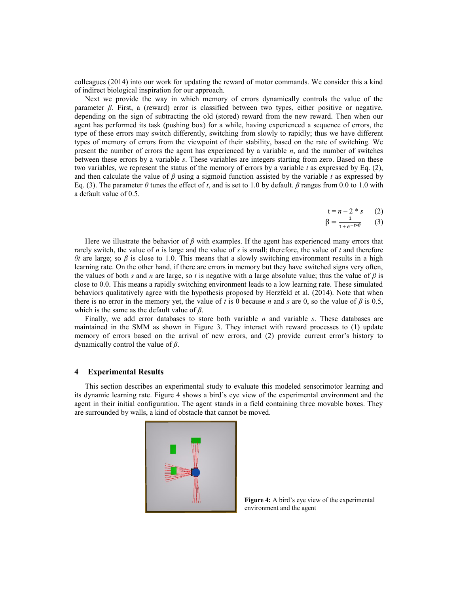colleagues [\(2014\)](#page-8-1) into our work for updating the reward of motor commands. We consider this a kind of indirect biological inspiration for our approach.

Next we provide the way in which memory of errors dynamically controls the value of the parameter  $\beta$ . First, a (reward) error is classified between two types, either positive or negative, depending on the sign of subtracting the old (stored) reward from the new reward. Then when our agent has performed its task (pushing box) for a while, having experienced a sequence of errors, the type of these errors may switch differently, switching from slowly to rapidly; thus we have different types of memory of errors from the viewpoint of their stability, based on the rate of switching. We present the number of errors the agent has experienced by a variable *n*, and the number of switches between these errors by a variable *s*. These variables are integers starting from zero. Based on these two variables, we represent the status of the memory of errors by a variable *t* as expressed by Eq. (2), and then calculate the value of *β* using a sigmoid function assisted by the variable *t* as expressed by Eq. (3). The parameter  $\theta$  tunes the effect of *t*, and is set to 1.0 by default.  $\beta$  ranges from 0.0 to 1.0 with a default value of 0.5.

- $t = n 2 * s$  (2)
- $\beta = \frac{1}{\sqrt{1-\frac{1}{2}}}$  $\mathbf 1$ (3)

Here we illustrate the behavior of *β* with examples. If the agent has experienced many errors that rarely switch, the value of *n* is large and the value of *s* is small; therefore, the value of *t* and therefore *θt* are large; so *β* is close to 1.0. This means that a slowly switching environment results in a high learning rate. On the other hand, if there are errors in memory but they have switched signs very often, the values of both *s* and *n* are large, so *t* is negative with a large absolute value; thus the value of  $\beta$  is close to 0.0. This means a rapidly switching environment leads to a low learning rate. These simulated behaviors qualitatively agree with the hypothesis proposed by Herzfeld et al. [\(2014\)](#page-8-1). Note that when there is no error in the memory yet, the value of *t* is 0 because *n* and *s* are 0, so the value of  $\beta$  is 0.5, which is the same as the default value of *β*.

Finally, we add error databases to store both variable *n* and variable *s*. These databases are maintained in the SMM as shown in Figure 3. They interact with reward processes to (1) update memory of errors based on the arrival of new errors, and (2) provide current error's history to dynamically control the value of *β*.

# **4 Experimental Results**

This section describes an experimental study to evaluate this modeled sensorimotor learning and its dynamic learning rate. Figure 4 shows a bird's eye view of the experimental environment and the agent in their initial configuration. The agent stands in a field containing three movable boxes. They are surrounded by walls, a kind of obstacle that cannot be moved.



**Figure 4:** A bird's eye view of the experimental environment and the agent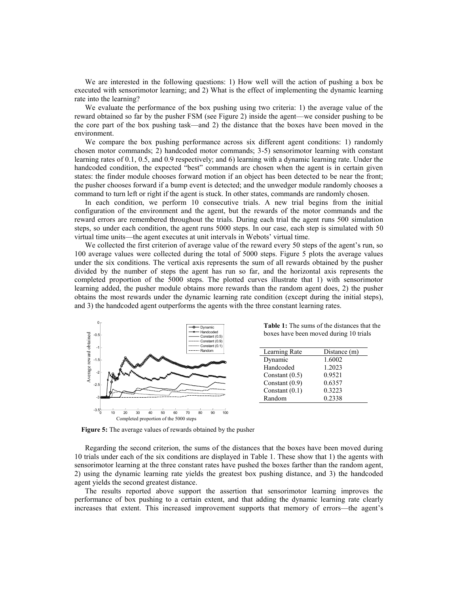We are interested in the following questions: 1) How well will the action of pushing a box be executed with sensorimotor learning; and 2) What is the effect of implementing the dynamic learning rate into the learning?

We evaluate the performance of the box pushing using two criteria: 1) the average value of the reward obtained so far by the pusher FSM (see Figure 2) inside the agent—we consider pushing to be the core part of the box pushing task—and 2) the distance that the boxes have been moved in the environment.

We compare the box pushing performance across six different agent conditions: 1) randomly chosen motor commands; 2) handcoded motor commands; 3-5) sensorimotor learning with constant learning rates of 0.1, 0.5, and 0.9 respectively; and 6) learning with a dynamic learning rate. Under the handcoded condition, the expected "best" commands are chosen when the agent is in certain given states: the finder module chooses forward motion if an object has been detected to be near the front; the pusher chooses forward if a bump event is detected; and the unwedger module randomly chooses a command to turn left or right if the agent is stuck. In other states, commands are randomly chosen.

In each condition, we perform 10 consecutive trials. A new trial begins from the initial configuration of the environment and the agent, but the rewards of the motor commands and the reward errors are remembered throughout the trials. During each trial the agent runs 500 simulation steps, so under each condition, the agent runs 5000 steps. In our case, each step is simulated with 50 virtual time units—the agent executes at unit intervals in Webots' virtual time.

We collected the first criterion of average value of the reward every 50 steps of the agent's run, so 100 average values were collected during the total of 5000 steps. Figure 5 plots the average values under the six conditions. The vertical axis represents the sum of all rewards obtained by the pusher divided by the number of steps the agent has run so far, and the horizontal axis represents the completed proportion of the 5000 steps. The plotted curves illustrate that 1) with sensorimotor learning added, the pusher module obtains more rewards than the random agent does, 2) the pusher obtains the most rewards under the dynamic learning rate condition (except during the initial steps), and 3) the handcoded agent outperforms the agents with the three constant learning rates.



**Table 1:** The sums of the distances that the boxes have been moved during 10 trials

| Learning Rate    | Distance (m) |
|------------------|--------------|
| Dynamic          | 1.6002       |
| Handcoded        | 1.2023       |
| Constant $(0.5)$ | 0.9521       |
| Constant $(0.9)$ | 0.6357       |
| Constant $(0.1)$ | 0.3223       |
| Random           | 0.2338       |

**Figure 5:** The average values of rewards obtained by the pusher

Regarding the second criterion, the sums of the distances that the boxes have been moved during 10 trials under each of the six conditions are displayed in Table 1. These show that 1) the agents with sensorimotor learning at the three constant rates have pushed the boxes farther than the random agent, 2) using the dynamic learning rate yields the greatest box pushing distance, and 3) the handcoded agent yields the second greatest distance.

The results reported above support the assertion that sensorimotor learning improves the performance of box pushing to a certain extent, and that adding the dynamic learning rate clearly increases that extent. This increased improvement supports that memory of errors—the agent's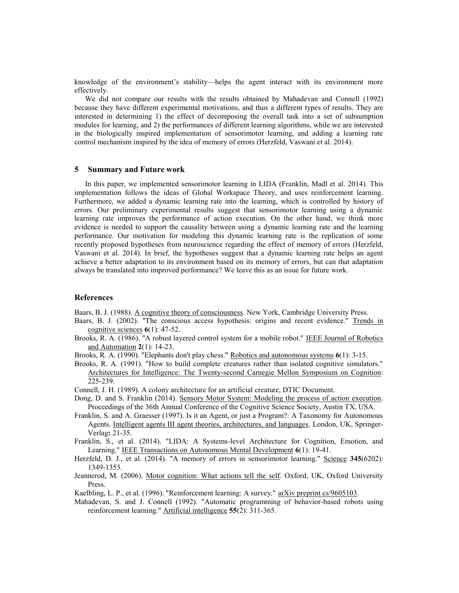knowledge of the environment's stability—helps the agent interact with its environment more effectively.

We did not compare our results with the results obtained by Mahadevan and Connell [\(1992\)](#page-8-11) because they have different experimental motivations, and thus a different types of results. They are interested in determining 1) the effect of decomposing the overall task into a set of subsumption modules for learning, and 2) the performances of different learning algorithms, while we are interested in the biologically inspired implementation of sensorimotor learning, and adding a learning rate control mechanism inspired by the idea of memory of errors [\(Herzfeld, Vaswani et al. 2014\)](#page-8-1).

# **5 Summary and Future work**

In this paper, we implemented sensorimotor learning in LIDA [\(Franklin, Madl et al. 2014\)](#page-8-0). This implementation follows the ideas of Global Workspace Theory, and uses reinforcement learning. Furthermore, we added a dynamic learning rate into the learning, which is controlled by history of errors. Our preliminary experimental results suggest that sensorimotor learning using a dynamic learning rate improves the performance of action execution. On the other hand, we think more evidence is needed to support the causality between using a dynamic learning rate and the learning performance. Our motivation for modeling this dynamic learning rate is the replication of some recently proposed hypotheses from neuroscience regarding the effect of memory of errors [\(Herzfeld,](#page-8-1)  [Vaswani et al. 2014\)](#page-8-1). In brief, the hypotheses suggest that a dynamic learning rate helps an agent achieve a better adaptation to its environment based on its memory of errors, but can that adaptation always be translated into improved performance? We leave this as an issue for future work.

# **References**

<span id="page-8-2"></span>Baars, B. J. (1988). A cognitive theory of consciousness. New York, Cambridge University Press.

- <span id="page-8-3"></span>Baars, B. J. (2002). "The conscious access hypothesis: origins and recent evidence." Trends in cognitive sciences **6**(1): 47-52.
- <span id="page-8-6"></span>Brooks, R. A. (1986). "A robust layered control system for a mobile robot." IEEE Journal of Robotics and Automation **2**(1): 14-23.
- <span id="page-8-9"></span>Brooks, R. A. (1990). "Elephants don't play chess." Robotics and autonomous systems **6**(1): 3-15.

<span id="page-8-7"></span>Brooks, R. A. (1991). "How to build complete creatures rather than isolated cognitive simulators." Architectures for Intelligence: The Twenty-second Carnegie Mellon Symposium on Cognition: 225-239.

- <span id="page-8-8"></span>Connell, J. H. (1989). A colony architecture for an artificial creature, DTIC Document.
- <span id="page-8-5"></span>Dong, D. and S. Franklin (2014). Sensory Motor System: Modeling the process of action execution. Proceedings of the 36th Annual Conference of the Cognitive Science Society, Austin TX, USA.
- <span id="page-8-4"></span>Franklin, S. and A. Graesser (1997). Is it an Agent, or just a Program?: A Taxonomy for Autonomous Agents. Intelligent agents III agent theories, architectures, and languages. London, UK, Springer-Verlag**:** 21-35.

<span id="page-8-0"></span>Franklin, S., et al. (2014). "LIDA: A Systems-level Architecture for Cognition, Emotion, and Learning." IEEE Transactions on Autonomous Mental Development **6**(1): 19-41.

- <span id="page-8-1"></span>Herzfeld, D. J., et al. (2014). "A memory of errors in sensorimotor learning." Science **345**(6202): 1349-1353.
- <span id="page-8-10"></span>Jeannerod, M. (2006). Motor cognition: What actions tell the self. Oxford, UK, Oxford University Press.
- <span id="page-8-12"></span>Kaelbling, L. P., et al. (1996). "Reinforcement learning: A survey." arXiv preprint cs/9605103.
- <span id="page-8-11"></span>Mahadevan, S. and J. Connell (1992). "Automatic programming of behavior-based robots using reinforcement learning." Artificial intelligence **55**(2): 311-365.